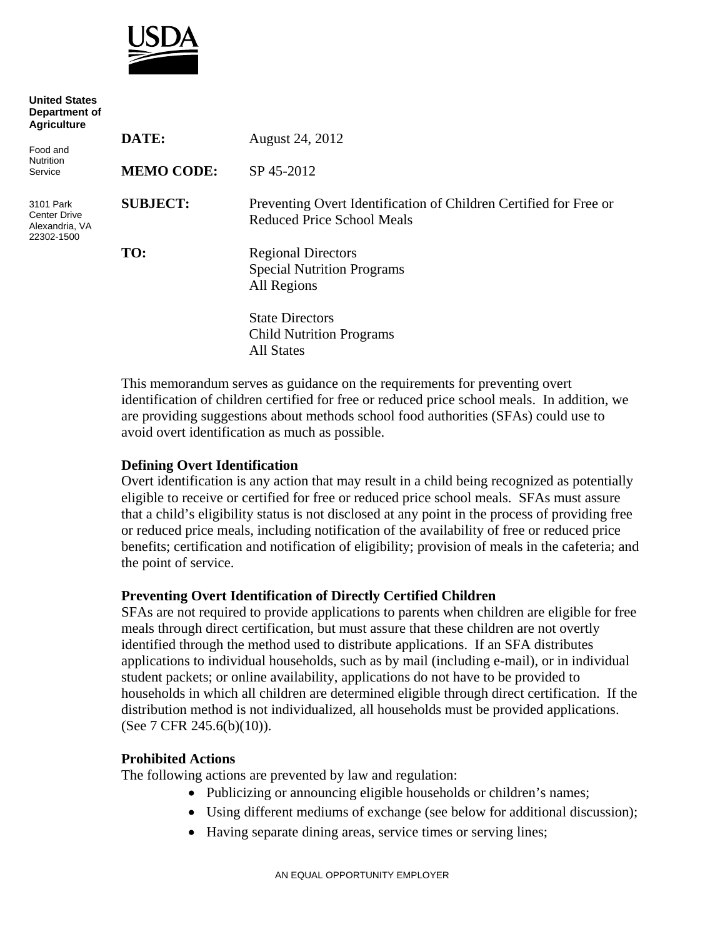

| <b>United States</b><br>Department of<br><b>Agriculture</b>      |                   |                                                                                                        |
|------------------------------------------------------------------|-------------------|--------------------------------------------------------------------------------------------------------|
|                                                                  | DATE:             | August 24, 2012                                                                                        |
| Food and<br><b>Nutrition</b><br>Service                          | <b>MEMO CODE:</b> | SP 45-2012                                                                                             |
| 3101 Park<br><b>Center Drive</b><br>Alexandria, VA<br>22302-1500 | <b>SUBJECT:</b>   | Preventing Overt Identification of Children Certified for Free or<br><b>Reduced Price School Meals</b> |
|                                                                  | TO:               | <b>Regional Directors</b><br><b>Special Nutrition Programs</b><br>All Regions                          |
|                                                                  |                   | <b>State Directors</b><br><b>Child Nutrition Programs</b><br><b>All States</b>                         |

This memorandum serves as guidance on the requirements for preventing overt identification of children certified for free or reduced price school meals. In addition, we are providing suggestions about methods school food authorities (SFAs) could use to avoid overt identification as much as possible.

### **Defining Overt Identification**

Overt identification is any action that may result in a child being recognized as potentially eligible to receive or certified for free or reduced price school meals. SFAs must assure that a child's eligibility status is not disclosed at any point in the process of providing free or reduced price meals, including notification of the availability of free or reduced price benefits; certification and notification of eligibility; provision of meals in the cafeteria; and the point of service.

### **Preventing Overt Identification of Directly Certified Children**

SFAs are not required to provide applications to parents when children are eligible for free meals through direct certification, but must assure that these children are not overtly identified through the method used to distribute applications. If an SFA distributes applications to individual households, such as by mail (including e-mail), or in individual student packets; or online availability, applications do not have to be provided to households in which all children are determined eligible through direct certification. If the distribution method is not individualized, all households must be provided applications. (See 7 CFR 245.6(b)(10)).

### **Prohibited Actions**

The following actions are prevented by law and regulation:

- Publicizing or announcing eligible households or children's names;
- Using different mediums of exchange (see below for additional discussion);
- Having separate dining areas, service times or serving lines;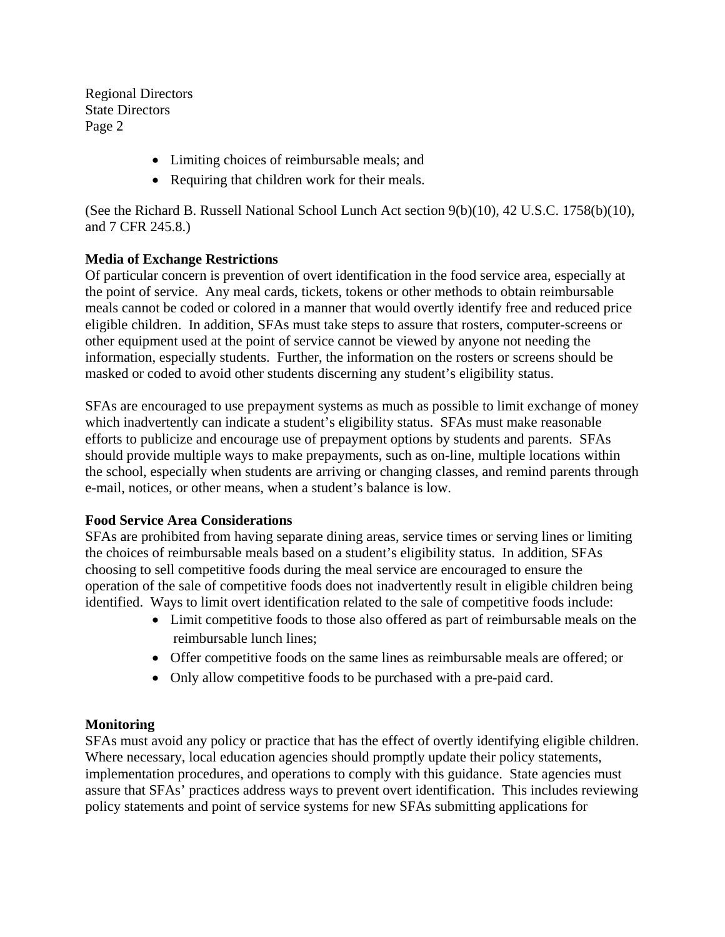Regional Directors State Directors Page 2

- Limiting choices of reimbursable meals; and
- Requiring that children work for their meals.

(See the Richard B. Russell National School Lunch Act section 9(b)(10), 42 U.S.C. 1758(b)(10), and 7 CFR 245.8.)

# **Media of Exchange Restrictions**

Of particular concern is prevention of overt identification in the food service area, especially at the point of service. Any meal cards, tickets, tokens or other methods to obtain reimbursable meals cannot be coded or colored in a manner that would overtly identify free and reduced price eligible children. In addition, SFAs must take steps to assure that rosters, computer-screens or other equipment used at the point of service cannot be viewed by anyone not needing the information, especially students. Further, the information on the rosters or screens should be masked or coded to avoid other students discerning any student's eligibility status.

SFAs are encouraged to use prepayment systems as much as possible to limit exchange of money which inadvertently can indicate a student's eligibility status. SFAs must make reasonable efforts to publicize and encourage use of prepayment options by students and parents. SFAs should provide multiple ways to make prepayments, such as on-line, multiple locations within the school, especially when students are arriving or changing classes, and remind parents through e-mail, notices, or other means, when a student's balance is low.

# **Food Service Area Considerations**

SFAs are prohibited from having separate dining areas, service times or serving lines or limiting the choices of reimbursable meals based on a student's eligibility status. In addition, SFAs choosing to sell competitive foods during the meal service are encouraged to ensure the operation of the sale of competitive foods does not inadvertently result in eligible children being identified. Ways to limit overt identification related to the sale of competitive foods include:

- Limit competitive foods to those also offered as part of reimbursable meals on the reimbursable lunch lines;
- Offer competitive foods on the same lines as reimbursable meals are offered; or
- Only allow competitive foods to be purchased with a pre-paid card.

# **Monitoring**

SFAs must avoid any policy or practice that has the effect of overtly identifying eligible children. Where necessary, local education agencies should promptly update their policy statements, implementation procedures, and operations to comply with this guidance. State agencies must assure that SFAs' practices address ways to prevent overt identification. This includes reviewing policy statements and point of service systems for new SFAs submitting applications for